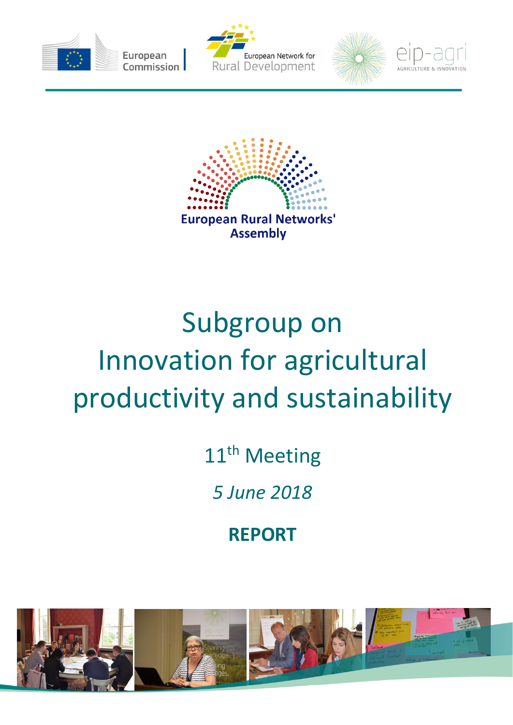









# Subgroup on Innovation for agricultural productivity and sustainability

11<sup>th</sup> Meeting

*5 June 2018*

**REPORT**

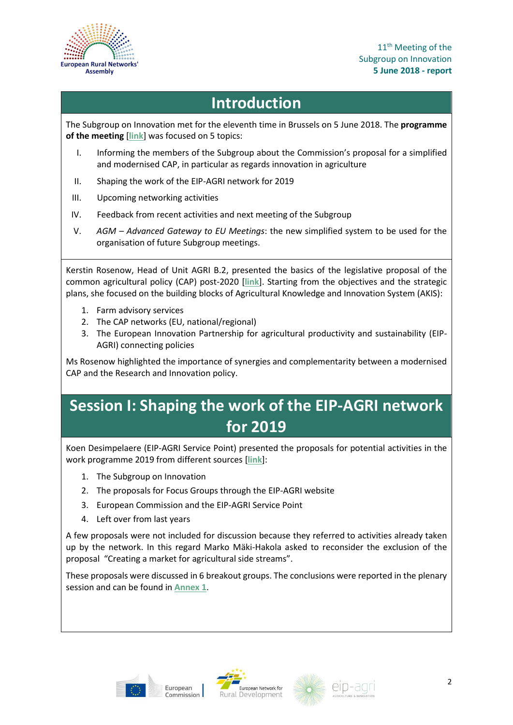

### **Introduction**

The Subgroup on Innovation met for the eleventh time in Brussels on 5 June 2018. The **programme of the meeting** [**[link](https://ec.europa.eu/eip/agriculture/sites/agri-eip/files/field_event_attachments/sgi11_final_agenda.pdf)**] was focused on 5 topics:

- I. Informing the members of the Subgroup about the Commission's proposal for a simplified and modernised CAP, in particular as regards innovation in agriculture
- II. Shaping the work of the EIP-AGRI network for 2019
- III. Upcoming networking activities
- IV. Feedback from recent activities and next meeting of the Subgroup
- V. *AGM – Advanced Gateway to EU Meetings*: the new simplified system to be used for the organisation of future Subgroup meetings.

Kerstin Rosenow, Head of Unit AGRI B.2, presented the basics of the legislative proposal of the common agricultural policy (CAP) post-2020 [**[link](https://ec.europa.eu/eip/agriculture/sites/agri-eip/files/field_event_attachments/sgi11_simplification_of_cap_post-2020_kerstin_rosenow.pdf)**]. Starting from the objectives and the strategic plans, she focused on the building blocks of Agricultural Knowledge and Innovation System (AKIS):

- 1. Farm advisory services
- 2. The CAP networks (EU, national/regional)
- 3. The European Innovation Partnership for agricultural productivity and sustainability (EIP-AGRI) connecting policies

Ms Rosenow highlighted the importance of synergies and complementarity between a modernised CAP and the Research and Innovation policy.

### **Session I: Shaping the work of the EIP-AGRI network for 2019**

Koen Desimpelaere (EIP-AGRI Service Point) presented the proposals for potential activities in the work programme 2019 from different sources [**[link](https://ec.europa.eu/eip/agriculture/sites/agri-eip/files/field_event_attachments/sgi11_shaping_the_work_of_the_eip-agri_network_for_2019_koen_desimpelaere.pdf)**]:

- 1. The Subgroup on Innovation
- 2. The proposals for Focus Groups through the EIP-AGRI website
- 3. European Commission and the EIP-AGRI Service Point
- 4. Left over from last years

A few proposals were not included for discussion because they referred to activities already taken up by the network. In this regard Marko Mäki-Hakola asked to reconsider the exclusion of the proposal "Creating a market for agricultural side streams".

These proposals were discussed in 6 breakout groups. The conclusions were reported in the plenary session and can be found in **[Annex 1](#page-4-0)**.







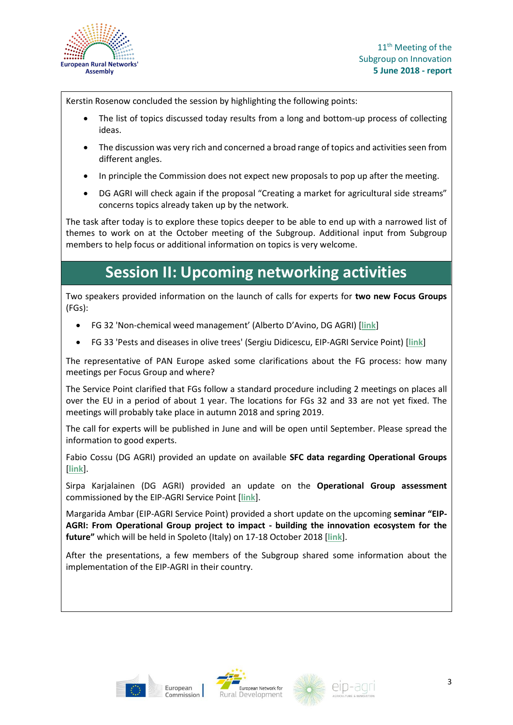

Kerstin Rosenow concluded the session by highlighting the following points:

- The list of topics discussed today results from a long and bottom-up process of collecting ideas.
- The discussion was very rich and concerned a broad range of topics and activities seen from different angles.
- In principle the Commission does not expect new proposals to pop up after the meeting.
- DG AGRI will check again if the proposal "Creating a market for agricultural side streams" concerns topics already taken up by the network.

The task after today is to explore these topics deeper to be able to end up with a narrowed list of themes to work on at the October meeting of the Subgroup. Additional input from Subgroup members to help focus or additional information on topics is very welcome.

### **Session II: Upcoming networking activities**

Two speakers provided information on the launch of calls for experts for **two new Focus Groups** (FGs):

- FG 32 'Non-chemical weed management' (Alberto D'Avino, DG AGRI) [**[link](https://ec.europa.eu/eip/agriculture/sites/agri-eip/files/field_event_attachments/sgi11_focus_groups_32_and_33_launch_of_calls_for_experts_alberto_davino_sergiu_didicescu.pdf)**]
- FG 33 'Pests and diseases in olive trees' (Sergiu Didicescu, EIP-AGRI Service Point) [**[link](https://ec.europa.eu/eip/agriculture/sites/agri-eip/files/field_event_attachments/sgi11_focus_groups_32_and_33_launch_of_calls_for_experts_alberto_davino_sergiu_didicescu.pdf)**]

The representative of PAN Europe asked some clarifications about the FG process: how many meetings per Focus Group and where?

The Service Point clarified that FGs follow a standard procedure including 2 meetings on places all over the EU in a period of about 1 year. The locations for FGs 32 and 33 are not yet fixed. The meetings will probably take place in autumn 2018 and spring 2019.

The call for experts will be published in June and will be open until September. Please spread the information to good experts.

Fabio Cossu (DG AGRI) provided an update on available **SFC data regarding Operational Groups** [**[link](https://ec.europa.eu/eip/agriculture/sites/agri-eip/files/field_event_attachments/sgi11_eip-agri_operational_groups_updates_sfc_data_fabio_cossu.pdf)**].

Sirpa Karjalainen (DG AGRI) provided an update on the **Operational Group assessment** commissioned by the EIP-AGRI Service Point [**[link](https://ec.europa.eu/eip/agriculture/sites/agri-eip/files/field_event_attachments/sgi11_operational_groups_assessment_sirpa_karjalainen.pdf)**].

Margarida Ambar (EIP-AGRI Service Point) provided a short update on the upcoming **seminar "EIP-AGRI: From Operational Group project to impact - building the innovation ecosystem for the future"** which will be held in Spoleto (Italy) on 17-18 October 2018 [**[link](https://ec.europa.eu/eip/agriculture/sites/agri-eip/files/field_event_attachments/sgi11_seminar_eip-agri_from_og_project_to_impact_margarida_ambar.pdf)**].

After the presentations, a few members of the Subgroup shared some information about the implementation of the EIP-AGRI in their country.







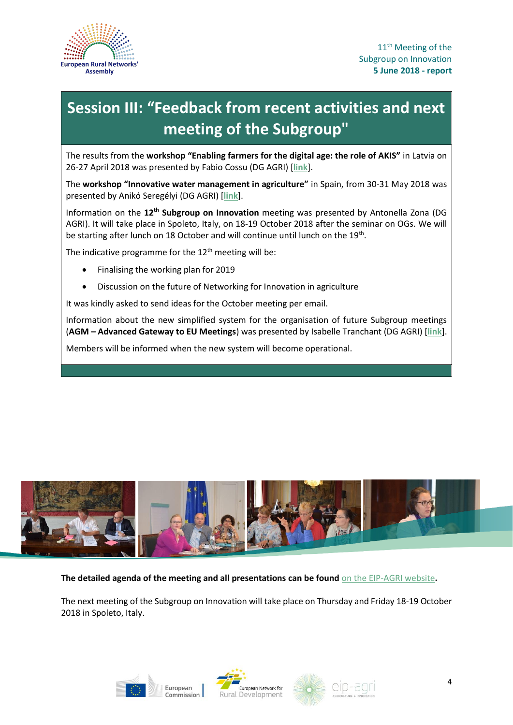

## **Session III: "Feedback from recent activities and next meeting of the Subgroup"**

The results from the **workshop "Enabling farmers for the digital age: the role of AKIS"** in Latvia on 26-27 April 2018 was presented by Fabio Cossu (DG AGRI) [**[link](https://ec.europa.eu/eip/agriculture/sites/agri-eip/files/field_event_attachments/sgi11_workshop_enabling_farmers_for_the_digital_age_the_role_of_akis_fabio_cossu.pdf)**].

The **workshop "Innovative water management in agriculture"** in Spain, from 30-31 May 2018 was presented by Anikó Seregélyi (DG AGRI) [**[link](https://ec.europa.eu/eip/agriculture/sites/agri-eip/files/field_event_attachments/sgi11_workshop_innovative_water_management_aniko_seregelyi_updated.pdf)**].

Information on the **12th Subgroup on Innovation** meeting was presented by Antonella Zona (DG AGRI). It will take place in Spoleto, Italy, on 18-19 October 2018 after the seminar on OGs. We will be starting after lunch on 18 October and will continue until lunch on the  $19^{\text{th}}$ .

The indicative programme for the  $12<sup>th</sup>$  meeting will be:

- Finalising the working plan for 2019
- Discussion on the future of Networking for Innovation in agriculture

It was kindly asked to send ideas for the October meeting per email.

Information about the new simplified system for the organisation of future Subgroup meetings (**AGM – Advanced Gateway to EU Meetings**) was presented by Isabelle Tranchant (DG AGRI) [**[link](https://ec.europa.eu/eip/agriculture/sites/agri-eip/files/field_event_attachments/sgi11_agm_advanced_gateway_to_eu_meetings_isabelle_tranchant.pdf)**].

Members will be informed when the new system will become operational.



**The detailed agenda of the meeting and all presentations can be found** [on the EIP-AGRI website](https://ec.europa.eu/eip/agriculture/en/event/11th-meeting-permanent-subgroup-innovation)**.**

The next meeting of the Subgroup on Innovation will take place on Thursday and Friday 18-19 October 2018 in Spoleto, Italy.







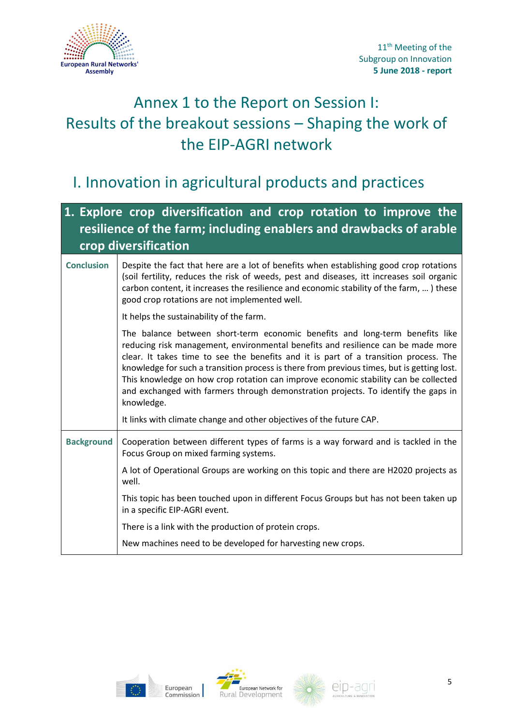

### <span id="page-4-0"></span>Annex 1 to the Report on Session I: Results of the breakout sessions – Shaping the work of the EIP-AGRI network

### I. Innovation in agricultural products and practices

### **1. Explore crop diversification and crop rotation to improve the resilience of the farm; including enablers and drawbacks of arable crop diversification**

#### **Conclusion** Despite the fact that here are a lot of benefits when establishing good crop rotations (soil fertility, reduces the risk of weeds, pest and diseases, itt increases soil organic carbon content, it increases the resilience and economic stability of the farm, … ) these good crop rotations are not implemented well. It helps the sustainability of the farm. The balance between short-term economic benefits and long-term benefits like reducing risk management, environmental benefits and resilience can be made more clear. It takes time to see the benefits and it is part of a transition process. The knowledge for such a transition process is there from previous times, but is getting lost. This knowledge on how crop rotation can improve economic stability can be collected and exchanged with farmers through demonstration projects. To identify the gaps in knowledge. It links with climate change and other objectives of the future CAP. Background | Cooperation between different types of farms is a way forward and is tackled in the Focus Group on mixed farming systems. A lot of Operational Groups are working on this topic and there are H2020 projects as well. This topic has been touched upon in different Focus Groups but has not been taken up in a specific EIP-AGRI event. There is a link with the production of protein crops. New machines need to be developed for harvesting new crops.







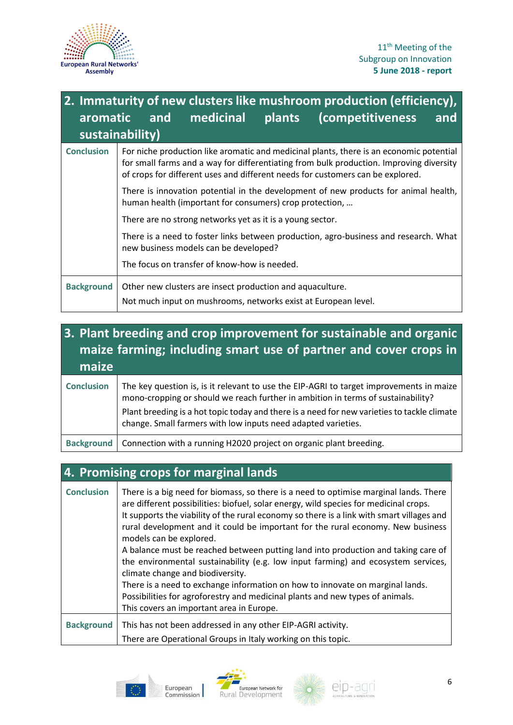

### **2. Immaturity of new clusters like mushroom production (efficiency), aromatic and medicinal plants (competitiveness and sustainability) Conclusion** For niche production like aromatic and medicinal plants, there is an economic potential for small farms and a way for differentiating from bulk production. Improving diversity of crops for different uses and different needs for customers can be explored. There is innovation potential in the development of new products for animal health, human health (important for consumers) crop protection, … There are no strong networks yet as it is a young sector. There is a need to foster links between production, agro-business and research. What new business models can be developed? The focus on transfer of know-how is needed. **Background** | Other new clusters are insect production and aquaculture. Not much input on mushrooms, networks exist at European level.

### **3. Plant breeding and crop improvement for sustainable and organic maize farming; including smart use of partner and cover crops in maize**

| <b>Conclusion</b> | The key question is, is it relevant to use the EIP-AGRI to target improvements in maize<br>mono-cropping or should we reach further in ambition in terms of sustainability?<br>Plant breeding is a hot topic today and there is a need for new varieties to tackle climate<br>change. Small farmers with low inputs need adapted varieties. |
|-------------------|---------------------------------------------------------------------------------------------------------------------------------------------------------------------------------------------------------------------------------------------------------------------------------------------------------------------------------------------|
|                   | Background   Connection with a running H2020 project on organic plant breeding.                                                                                                                                                                                                                                                             |

| 4. Promising crops for marginal lands |                                                                                                                                                                                                                                                                                                                                                                                                                                                                                                                                                                                                                                                                                                                                                                                                                       |  |
|---------------------------------------|-----------------------------------------------------------------------------------------------------------------------------------------------------------------------------------------------------------------------------------------------------------------------------------------------------------------------------------------------------------------------------------------------------------------------------------------------------------------------------------------------------------------------------------------------------------------------------------------------------------------------------------------------------------------------------------------------------------------------------------------------------------------------------------------------------------------------|--|
| <b>Conclusion</b>                     | There is a big need for biomass, so there is a need to optimise marginal lands. There<br>are different possibilities: biofuel, solar energy, wild species for medicinal crops.<br>It supports the viability of the rural economy so there is a link with smart villages and<br>rural development and it could be important for the rural economy. New business<br>models can be explored.<br>A balance must be reached between putting land into production and taking care of<br>the environmental sustainability (e.g. low input farming) and ecosystem services,<br>climate change and biodiversity.<br>There is a need to exchange information on how to innovate on marginal lands.<br>Possibilities for agroforestry and medicinal plants and new types of animals.<br>This covers an important area in Europe. |  |
| <b>Background</b>                     | This has not been addressed in any other EIP-AGRI activity.                                                                                                                                                                                                                                                                                                                                                                                                                                                                                                                                                                                                                                                                                                                                                           |  |
|                                       | There are Operational Groups in Italy working on this topic.                                                                                                                                                                                                                                                                                                                                                                                                                                                                                                                                                                                                                                                                                                                                                          |  |





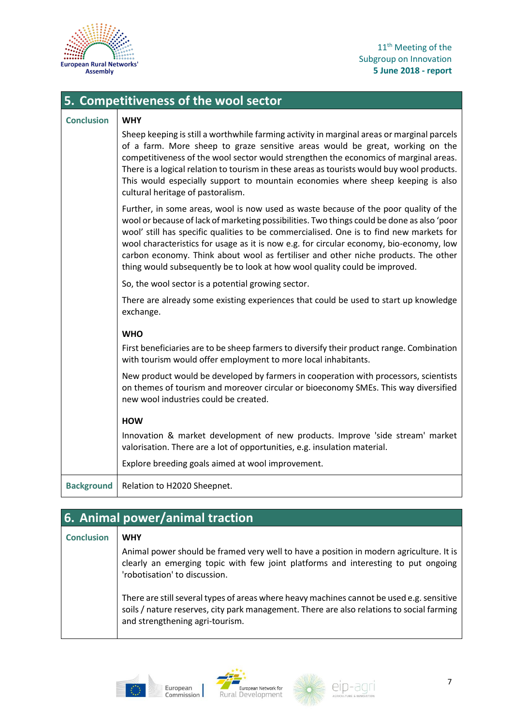

|  | 5. Competitiveness of the wool sector |  |
|--|---------------------------------------|--|
|  |                                       |  |

#### **Conclusion WHY**

| Sheep keeping is still a worthwhile farming activity in marginal areas or marginal parcels |
|--------------------------------------------------------------------------------------------|
| of a farm. More sheep to graze sensitive areas would be great, working on the              |
| competitiveness of the wool sector would strengthen the economics of marginal areas.       |
| There is a logical relation to tourism in these areas as tourists would buy wool products. |
| This would especially support to mountain economies where sheep keeping is also            |
| cultural heritage of pastoralism.                                                          |

Further, in some areas, wool is now used as waste because of the poor quality of the wool or because of lack of marketing possibilities. Two things could be done as also 'poor wool' still has specific qualities to be commercialised. One is to find new markets for wool characteristics for usage as it is now e.g. for circular economy, bio-economy, low carbon economy. Think about wool as fertiliser and other niche products. The other thing would subsequently be to look at how wool quality could be improved.

So, the wool sector is a potential growing sector.

There are already some existing experiences that could be used to start up knowledge exchange.

#### **WHO**

First beneficiaries are to be sheep farmers to diversify their product range. Combination with tourism would offer employment to more local inhabitants.

New product would be developed by farmers in cooperation with processors, scientists on themes of tourism and moreover circular or bioeconomy SMEs. This way diversified new wool industries could be created.

#### **HOW**

Innovation & market development of new products. Improve 'side stream' market valorisation. There are a lot of opportunities, e.g. insulation material.

Explore breeding goals aimed at wool improvement.

**Background** | Relation to H2020 Sheepnet.

#### **6. Animal power/animal traction**

| <b>Conclusion</b> | <b>WHY</b>                                                                                                                                                                                                                |
|-------------------|---------------------------------------------------------------------------------------------------------------------------------------------------------------------------------------------------------------------------|
|                   | Animal power should be framed very well to have a position in modern agriculture. It is<br>clearly an emerging topic with few joint platforms and interesting to put ongoing<br>'robotisation' to discussion.             |
|                   | There are still several types of areas where heavy machines cannot be used e.g. sensitive<br>soils / nature reserves, city park management. There are also relations to social farming<br>and strengthening agri-tourism. |







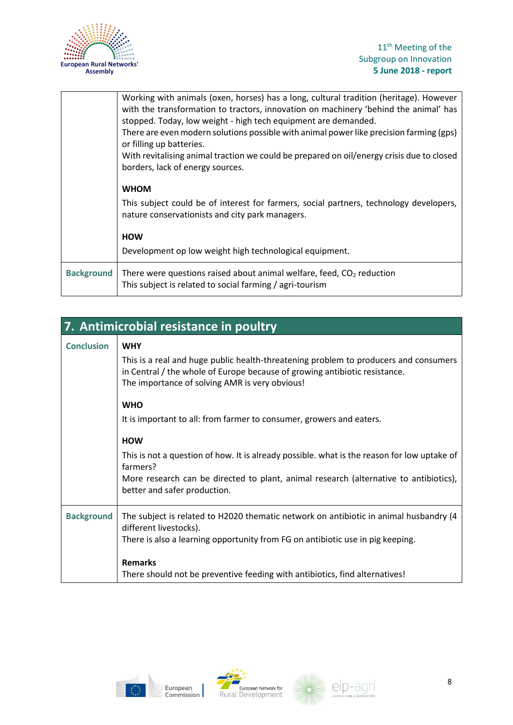

|                   | Working with animals (oxen, horses) has a long, cultural tradition (heritage). However<br>with the transformation to tractors, innovation on machinery 'behind the animal' has<br>stopped. Today, low weight - high tech equipment are demanded.<br>There are even modern solutions possible with animal power like precision farming (gps) |
|-------------------|---------------------------------------------------------------------------------------------------------------------------------------------------------------------------------------------------------------------------------------------------------------------------------------------------------------------------------------------|
|                   | or filling up batteries.                                                                                                                                                                                                                                                                                                                    |
|                   | With revitalising animal traction we could be prepared on oil/energy crisis due to closed<br>borders, lack of energy sources.                                                                                                                                                                                                               |
|                   | <b>WHOM</b>                                                                                                                                                                                                                                                                                                                                 |
|                   | This subject could be of interest for farmers, social partners, technology developers,<br>nature conservationists and city park managers.                                                                                                                                                                                                   |
|                   | <b>HOW</b>                                                                                                                                                                                                                                                                                                                                  |
|                   | Development op low weight high technological equipment.                                                                                                                                                                                                                                                                                     |
| <b>Background</b> | There were questions raised about animal welfare, feed, $CO2$ reduction<br>This subject is related to social farming / agri-tourism                                                                                                                                                                                                         |

| 7. Antimicrobial resistance in poultry |                                                                                                                                                                                                                      |  |
|----------------------------------------|----------------------------------------------------------------------------------------------------------------------------------------------------------------------------------------------------------------------|--|
| <b>Conclusion</b>                      | <b>WHY</b>                                                                                                                                                                                                           |  |
|                                        | This is a real and huge public health-threatening problem to producers and consumers<br>in Central / the whole of Europe because of growing antibiotic resistance.<br>The importance of solving AMR is very obvious! |  |
|                                        | <b>WHO</b>                                                                                                                                                                                                           |  |
|                                        | It is important to all: from farmer to consumer, growers and eaters.                                                                                                                                                 |  |
|                                        | <b>HOW</b>                                                                                                                                                                                                           |  |
|                                        | This is not a question of how. It is already possible. what is the reason for low uptake of<br>farmers?                                                                                                              |  |
|                                        | More research can be directed to plant, animal research (alternative to antibiotics),<br>better and safer production.                                                                                                |  |
| <b>Background</b>                      | The subject is related to H2020 thematic network on antibiotic in animal husbandry (4<br>different livestocks).                                                                                                      |  |
|                                        | There is also a learning opportunity from FG on antibiotic use in pig keeping.                                                                                                                                       |  |
|                                        | <b>Remarks</b>                                                                                                                                                                                                       |  |
|                                        | There should not be preventive feeding with antibiotics, find alternatives!                                                                                                                                          |  |





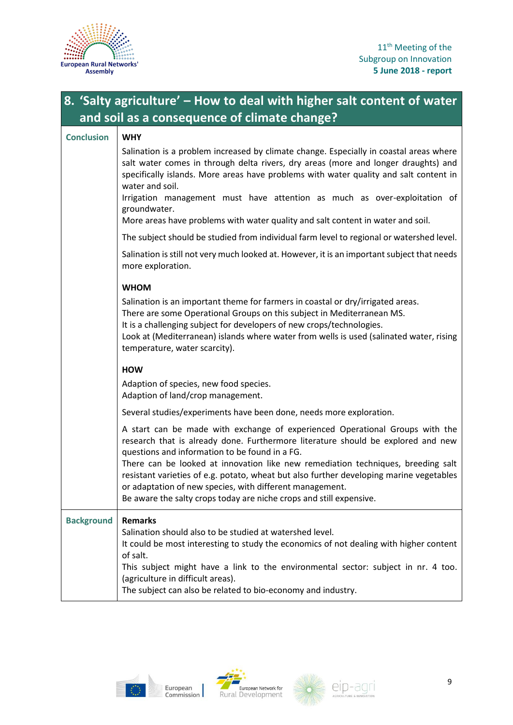

### **8. 'Salty agriculture' – How to deal with higher salt content of water and soil as a consequence of climate change?**

| <b>Conclusion</b> | <b>WHY</b>                                                                                                                                                                                                                                                                                                                                                     |
|-------------------|----------------------------------------------------------------------------------------------------------------------------------------------------------------------------------------------------------------------------------------------------------------------------------------------------------------------------------------------------------------|
|                   | Salination is a problem increased by climate change. Especially in coastal areas where<br>salt water comes in through delta rivers, dry areas (more and longer draughts) and<br>specifically islands. More areas have problems with water quality and salt content in<br>water and soil.                                                                       |
|                   | Irrigation management must have attention as much as over-exploitation of<br>groundwater.<br>More areas have problems with water quality and salt content in water and soil.                                                                                                                                                                                   |
|                   | The subject should be studied from individual farm level to regional or watershed level.                                                                                                                                                                                                                                                                       |
|                   | Salination is still not very much looked at. However, it is an important subject that needs<br>more exploration.                                                                                                                                                                                                                                               |
|                   | <b>WHOM</b>                                                                                                                                                                                                                                                                                                                                                    |
|                   | Salination is an important theme for farmers in coastal or dry/irrigated areas.<br>There are some Operational Groups on this subject in Mediterranean MS.<br>It is a challenging subject for developers of new crops/technologies.<br>Look at (Mediterranean) islands where water from wells is used (salinated water, rising<br>temperature, water scarcity). |
|                   | <b>HOW</b>                                                                                                                                                                                                                                                                                                                                                     |
|                   | Adaption of species, new food species.<br>Adaption of land/crop management.                                                                                                                                                                                                                                                                                    |
|                   | Several studies/experiments have been done, needs more exploration.                                                                                                                                                                                                                                                                                            |
|                   | A start can be made with exchange of experienced Operational Groups with the<br>research that is already done. Furthermore literature should be explored and new<br>questions and information to be found in a FG.                                                                                                                                             |
|                   | There can be looked at innovation like new remediation techniques, breeding salt<br>resistant varieties of e.g. potato, wheat but also further developing marine vegetables<br>or adaptation of new species, with different management.<br>Be aware the salty crops today are niche crops and still expensive.                                                 |
| <b>Background</b> | <b>Remarks</b>                                                                                                                                                                                                                                                                                                                                                 |
|                   | Salination should also to be studied at watershed level.<br>It could be most interesting to study the economics of not dealing with higher content<br>of salt.                                                                                                                                                                                                 |
|                   | This subject might have a link to the environmental sector: subject in nr. 4 too.<br>(agriculture in difficult areas).<br>The subject can also be related to bio-economy and industry.                                                                                                                                                                         |





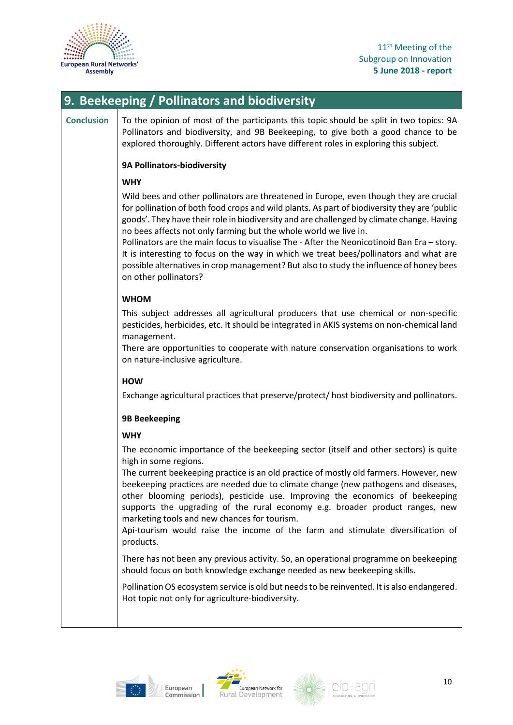

#### 11<sup>th</sup> Meeting of the Subgroup on Innovation **5 June 2018 - report**

### **9. Beekeeping / Pollinators and biodiversity**

**Conclusion** To the opinion of most of the participants this topic should be split in two topics: 9A Pollinators and biodiversity, and 9B Beekeeping, to give both a good chance to be explored thoroughly. Different actors have different roles in exploring this subject.

#### **9A Pollinators-biodiversity**

#### **WHY**

Wild bees and other pollinators are threatened in Europe, even though they are crucial for pollination of both food crops and wild plants. As part of biodiversity they are 'public goods'. They have their role in biodiversity and are challenged by climate change. Having no bees affects not only farming but the whole world we live in.

Pollinators are the main focus to visualise The - After the Neonicotinoid Ban Era – story. It is interesting to focus on the way in which we treat bees/pollinators and what are possible alternatives in crop management? But also to study the influence of honey bees on other pollinators?

#### **WHOM**

This subject addresses all agricultural producers that use chemical or non-specific pesticides, herbicides, etc. It should be integrated in AKIS systems on non-chemical land management.

There are opportunities to cooperate with nature conservation organisations to work on nature-inclusive agriculture.

#### **HOW**

Exchange agricultural practices that preserve/protect/ host biodiversity and pollinators.

#### **9B Beekeeping**

#### **WHY**

The economic importance of the beekeeping sector (itself and other sectors) is quite high in some regions.

The current beekeeping practice is an old practice of mostly old farmers. However, new beekeeping practices are needed due to climate change (new pathogens and diseases, other blooming periods), pesticide use. Improving the economics of beekeeping supports the upgrading of the rural economy e.g. broader product ranges, new marketing tools and new chances for tourism.

Api-tourism would raise the income of the farm and stimulate diversification of products.

There has not been any previous activity. So, an operational programme on beekeeping should focus on both knowledge exchange needed as new beekeeping skills.

Pollination OS ecosystem service is old but needs to be reinvented. It is also endangered. Hot topic not only for agriculture-biodiversity.







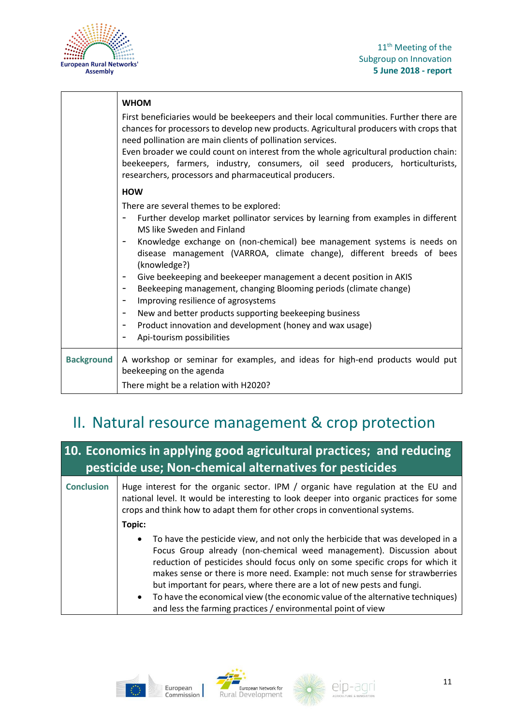



|                   | <b>WHOM</b>                                                                                                                                                                                                                                                                                                                                                                                                                                                                        |
|-------------------|------------------------------------------------------------------------------------------------------------------------------------------------------------------------------------------------------------------------------------------------------------------------------------------------------------------------------------------------------------------------------------------------------------------------------------------------------------------------------------|
|                   | First beneficiaries would be beekeepers and their local communities. Further there are<br>chances for processors to develop new products. Agricultural producers with crops that<br>need pollination are main clients of pollination services.<br>Even broader we could count on interest from the whole agricultural production chain:<br>beekeepers, farmers, industry, consumers, oil seed producers, horticulturists,<br>researchers, processors and pharmaceutical producers. |
|                   | <b>HOW</b>                                                                                                                                                                                                                                                                                                                                                                                                                                                                         |
|                   | There are several themes to be explored:                                                                                                                                                                                                                                                                                                                                                                                                                                           |
|                   | Further develop market pollinator services by learning from examples in different<br>-<br>MS like Sweden and Finland                                                                                                                                                                                                                                                                                                                                                               |
|                   | Knowledge exchange on (non-chemical) bee management systems is needs on<br>-<br>disease management (VARROA, climate change), different breeds of bees<br>(knowledge?)                                                                                                                                                                                                                                                                                                              |
|                   | Give beekeeping and beekeeper management a decent position in AKIS<br>$\overline{\phantom{a}}$                                                                                                                                                                                                                                                                                                                                                                                     |
|                   | Beekeeping management, changing Blooming periods (climate change)<br>$\overline{\phantom{a}}$                                                                                                                                                                                                                                                                                                                                                                                      |
|                   | Improving resilience of agrosystems<br>$\overline{\phantom{a}}$                                                                                                                                                                                                                                                                                                                                                                                                                    |
|                   | New and better products supporting beekeeping business<br>$\overline{\phantom{a}}$                                                                                                                                                                                                                                                                                                                                                                                                 |
|                   | Product innovation and development (honey and wax usage)<br>$\overline{\phantom{a}}$                                                                                                                                                                                                                                                                                                                                                                                               |
|                   | Api-tourism possibilities                                                                                                                                                                                                                                                                                                                                                                                                                                                          |
| <b>Background</b> | A workshop or seminar for examples, and ideas for high-end products would put<br>beekeeping on the agenda                                                                                                                                                                                                                                                                                                                                                                          |
|                   | There might be a relation with H2020?                                                                                                                                                                                                                                                                                                                                                                                                                                              |

### II. Natural resource management & crop protection

### **10. Economics in applying good agricultural practices; and reducing pesticide use; Non-chemical alternatives for pesticides**

**Conclusion** Huge interest for the organic sector. IPM / organic have regulation at the EU and national level. It would be interesting to look deeper into organic practices for some crops and think how to adapt them for other crops in conventional systems. **Topic:** • To have the pesticide view, and not only the herbicide that was developed in a Focus Group already (non-chemical weed management). Discussion about

- reduction of pesticides should focus only on some specific crops for which it makes sense or there is more need. Example: not much sense for strawberries but important for pears, where there are a lot of new pests and fungi.
- To have the economical view (the economic value of the alternative techniques) and less the farming practices / environmental point of view





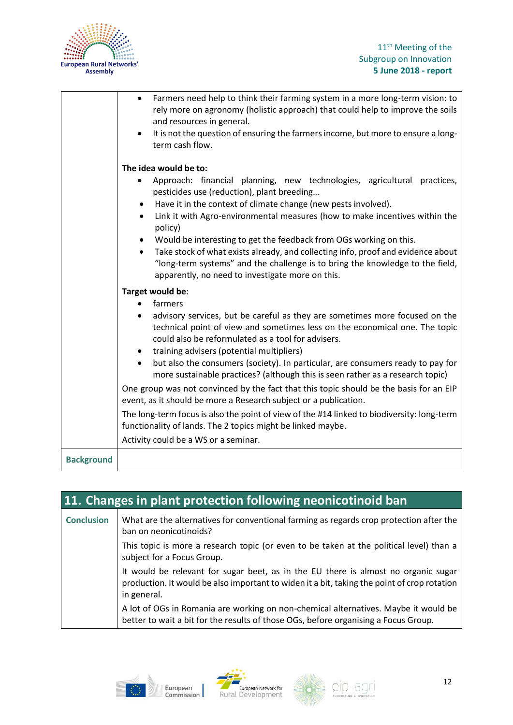

|                   | Farmers need help to think their farming system in a more long-term vision: to<br>rely more on agronomy (holistic approach) that could help to improve the soils<br>and resources in general.<br>It is not the question of ensuring the farmers income, but more to ensure a long-<br>term cash flow.                                                                                                                                                                                                                                                                                         |
|-------------------|-----------------------------------------------------------------------------------------------------------------------------------------------------------------------------------------------------------------------------------------------------------------------------------------------------------------------------------------------------------------------------------------------------------------------------------------------------------------------------------------------------------------------------------------------------------------------------------------------|
|                   | The idea would be to:                                                                                                                                                                                                                                                                                                                                                                                                                                                                                                                                                                         |
|                   | Approach: financial planning, new technologies, agricultural practices,<br>pesticides use (reduction), plant breeding<br>Have it in the context of climate change (new pests involved).<br>Link it with Agro-environmental measures (how to make incentives within the<br>$\bullet$<br>policy)<br>Would be interesting to get the feedback from OGs working on this.<br>Take stock of what exists already, and collecting info, proof and evidence about<br>"long-term systems" and the challenge is to bring the knowledge to the field,<br>apparently, no need to investigate more on this. |
|                   | Target would be:<br>farmers<br>advisory services, but be careful as they are sometimes more focused on the<br>technical point of view and sometimes less on the economical one. The topic<br>could also be reformulated as a tool for advisers.<br>training advisers (potential multipliers)                                                                                                                                                                                                                                                                                                  |
|                   | but also the consumers (society). In particular, are consumers ready to pay for<br>$\bullet$<br>more sustainable practices? (although this is seen rather as a research topic)                                                                                                                                                                                                                                                                                                                                                                                                                |
|                   | One group was not convinced by the fact that this topic should be the basis for an EIP<br>event, as it should be more a Research subject or a publication.                                                                                                                                                                                                                                                                                                                                                                                                                                    |
|                   | The long-term focus is also the point of view of the #14 linked to biodiversity: long-term<br>functionality of lands. The 2 topics might be linked maybe.                                                                                                                                                                                                                                                                                                                                                                                                                                     |
|                   | Activity could be a WS or a seminar.                                                                                                                                                                                                                                                                                                                                                                                                                                                                                                                                                          |
| <b>Background</b> |                                                                                                                                                                                                                                                                                                                                                                                                                                                                                                                                                                                               |

| 11. Changes in plant protection following neonicotinoid ban |                                                                                                                                                                                                  |  |
|-------------------------------------------------------------|--------------------------------------------------------------------------------------------------------------------------------------------------------------------------------------------------|--|
| <b>Conclusion</b>                                           | What are the alternatives for conventional farming as regards crop protection after the<br>ban on neonicotinoids?                                                                                |  |
|                                                             | This topic is more a research topic (or even to be taken at the political level) than a<br>subject for a Focus Group.                                                                            |  |
|                                                             | It would be relevant for sugar beet, as in the EU there is almost no organic sugar<br>production. It would be also important to widen it a bit, taking the point of crop rotation<br>in general. |  |
|                                                             | A lot of OGs in Romania are working on non-chemical alternatives. Maybe it would be<br>better to wait a bit for the results of those OGs, before organising a Focus Group.                       |  |





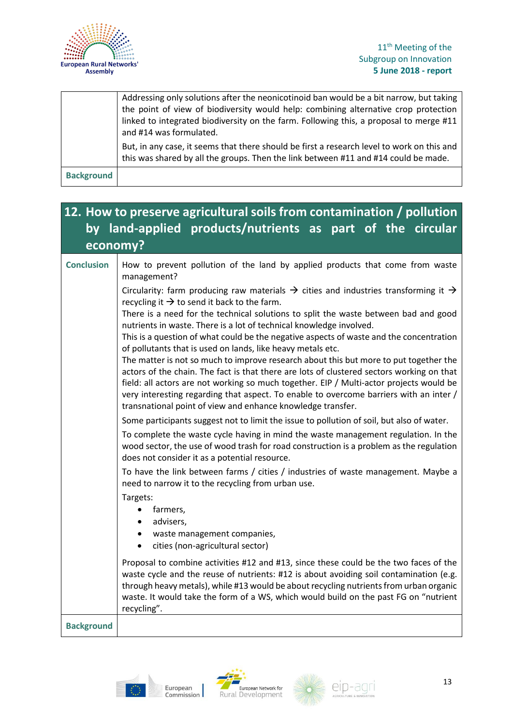

#### 11<sup>th</sup> Meeting of the Subgroup on Innovation **5 June 2018 - report**

|                   | Addressing only solutions after the neonicotinoid ban would be a bit narrow, but taking<br>the point of view of biodiversity would help: combining alternative crop protection<br>linked to integrated biodiversity on the farm. Following this, a proposal to merge #11<br>and #14 was formulated. |
|-------------------|-----------------------------------------------------------------------------------------------------------------------------------------------------------------------------------------------------------------------------------------------------------------------------------------------------|
|                   | But, in any case, it seems that there should be first a research level to work on this and<br>this was shared by all the groups. Then the link between #11 and #14 could be made.                                                                                                                   |
| <b>Background</b> |                                                                                                                                                                                                                                                                                                     |

#### **12. How to preserve agricultural soils from contamination / pollution by land-applied products/nutrients as part of the circular economy? Conclusion** How to prevent pollution of the land by applied products that come from waste management? Circularity: farm producing raw materials  $\rightarrow$  cities and industries transforming it  $\rightarrow$ recycling it  $\rightarrow$  to send it back to the farm. There is a need for the technical solutions to split the waste between bad and good nutrients in waste. There is a lot of technical knowledge involved. This is a question of what could be the negative aspects of waste and the concentration of pollutants that is used on lands, like heavy metals etc. The matter is not so much to improve research about this but more to put together the actors of the chain. The fact is that there are lots of clustered sectors working on that field: all actors are not working so much together. EIP / Multi-actor projects would be very interesting regarding that aspect. To enable to overcome barriers with an inter / transnational point of view and enhance knowledge transfer. Some participants suggest not to limit the issue to pollution of soil, but also of water. To complete the waste cycle having in mind the waste management regulation. In the wood sector, the use of wood trash for road construction is a problem as the regulation does not consider it as a potential resource. To have the link between farms / cities / industries of waste management. Maybe a need to narrow it to the recycling from urban use. Targets: • farmers, advisers, waste management companies, • cities (non-agricultural sector) Proposal to combine activities #12 and #13, since these could be the two faces of the waste cycle and the reuse of nutrients: #12 is about avoiding soil contamination (e.g. through heavy metals), while #13 would be about recycling nutrients from urban organic waste. It would take the form of a WS, which would build on the past FG on "nutrient recycling". **Background**





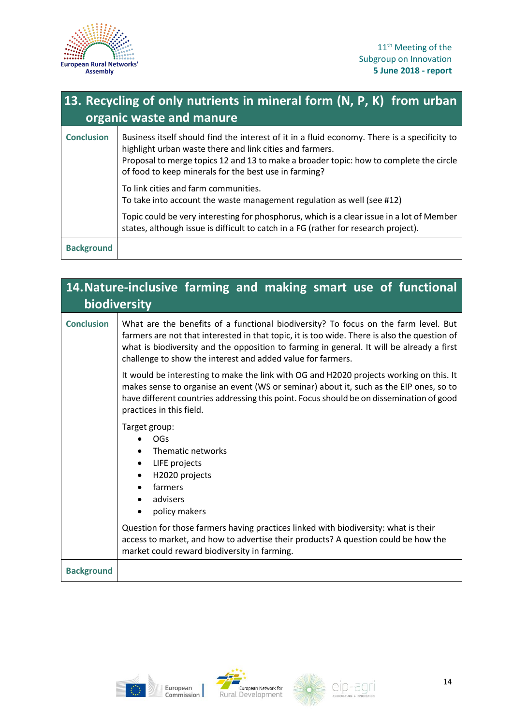

| 13. Recycling of only nutrients in mineral form (N, P, K) from urban<br>organic waste and manure |                                                                                                                                                                                                                                                                                                             |
|--------------------------------------------------------------------------------------------------|-------------------------------------------------------------------------------------------------------------------------------------------------------------------------------------------------------------------------------------------------------------------------------------------------------------|
| <b>Conclusion</b>                                                                                | Business itself should find the interest of it in a fluid economy. There is a specificity to<br>highlight urban waste there and link cities and farmers.<br>Proposal to merge topics 12 and 13 to make a broader topic: how to complete the circle<br>of food to keep minerals for the best use in farming? |
|                                                                                                  | To link cities and farm communities.<br>To take into account the waste management regulation as well (see #12)<br>Topic could be very interesting for phosphorus, which is a clear issue in a lot of Member<br>states, although issue is difficult to catch in a FG (rather for research project).          |
| <b>Background</b>                                                                                |                                                                                                                                                                                                                                                                                                             |

| 14. Nature-inclusive farming and making smart use of functional<br>biodiversity |                                                                                                                                                                                                                                                                                                                                                 |
|---------------------------------------------------------------------------------|-------------------------------------------------------------------------------------------------------------------------------------------------------------------------------------------------------------------------------------------------------------------------------------------------------------------------------------------------|
| <b>Conclusion</b>                                                               | What are the benefits of a functional biodiversity? To focus on the farm level. But<br>farmers are not that interested in that topic, it is too wide. There is also the question of<br>what is biodiversity and the opposition to farming in general. It will be already a first<br>challenge to show the interest and added value for farmers. |
|                                                                                 | It would be interesting to make the link with OG and H2020 projects working on this. It<br>makes sense to organise an event (WS or seminar) about it, such as the EIP ones, so to<br>have different countries addressing this point. Focus should be on dissemination of good<br>practices in this field.                                       |
|                                                                                 | Target group:<br>OGs<br>Thematic networks<br>LIFE projects<br>H2020 projects<br>farmers<br>advisers<br>policy makers                                                                                                                                                                                                                            |
|                                                                                 | Question for those farmers having practices linked with biodiversity: what is their<br>access to market, and how to advertise their products? A question could be how the<br>market could reward biodiversity in farming.                                                                                                                       |
| <b>Background</b>                                                               |                                                                                                                                                                                                                                                                                                                                                 |





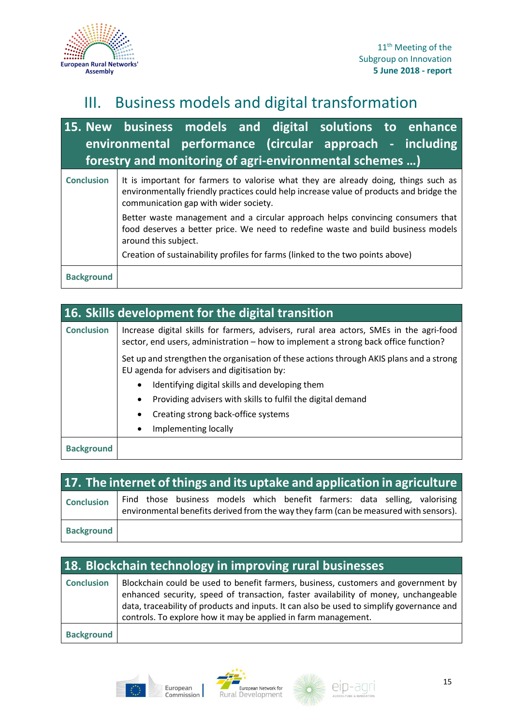

### III. Business models and digital transformation

### **15. New business models and digital solutions to enhance environmental performance (circular approach - including forestry and monitoring of agri-environmental schemes …)**

| <b>Conclusion</b> | It is important for farmers to valorise what they are already doing, things such as<br>environmentally friendly practices could help increase value of products and bridge the<br>communication gap with wider society. |
|-------------------|-------------------------------------------------------------------------------------------------------------------------------------------------------------------------------------------------------------------------|
|                   | Better waste management and a circular approach helps convincing consumers that<br>food deserves a better price. We need to redefine waste and build business models<br>around this subject.                            |
|                   | Creation of sustainability profiles for farms (linked to the two points above)                                                                                                                                          |
| <b>Background</b> |                                                                                                                                                                                                                         |

| 16. Skills development for the digital transition |                                                                                                                                                                                |
|---------------------------------------------------|--------------------------------------------------------------------------------------------------------------------------------------------------------------------------------|
| <b>Conclusion</b>                                 | Increase digital skills for farmers, advisers, rural area actors, SMEs in the agri-food<br>sector, end users, administration – how to implement a strong back office function? |
|                                                   | Set up and strengthen the organisation of these actions through AKIS plans and a strong<br>EU agenda for advisers and digitisation by:                                         |
|                                                   | Identifying digital skills and developing them<br>$\bullet$                                                                                                                    |
|                                                   | Providing advisers with skills to fulfil the digital demand<br>$\bullet$                                                                                                       |
|                                                   | Creating strong back-office systems<br>$\bullet$                                                                                                                               |
|                                                   | Implementing locally<br>$\bullet$                                                                                                                                              |
| <b>Background</b>                                 |                                                                                                                                                                                |

|                   | 17. The internet of things and its uptake and application in agriculture                                                                                            |
|-------------------|---------------------------------------------------------------------------------------------------------------------------------------------------------------------|
| <b>Conclusion</b> | Find those business models which benefit farmers: data selling, valorising<br>environmental benefits derived from the way they farm (can be measured with sensors). |
| <b>Background</b> |                                                                                                                                                                     |

| 18. Blockchain technology in improving rural businesses |                                                                                                                                                                                                                                                                                                                                          |  |
|---------------------------------------------------------|------------------------------------------------------------------------------------------------------------------------------------------------------------------------------------------------------------------------------------------------------------------------------------------------------------------------------------------|--|
| <b>Conclusion</b>                                       | Blockchain could be used to benefit farmers, business, customers and government by<br>enhanced security, speed of transaction, faster availability of money, unchangeable<br>data, traceability of products and inputs. It can also be used to simplify governance and<br>controls. To explore how it may be applied in farm management. |  |
| <b>Background</b>                                       |                                                                                                                                                                                                                                                                                                                                          |  |





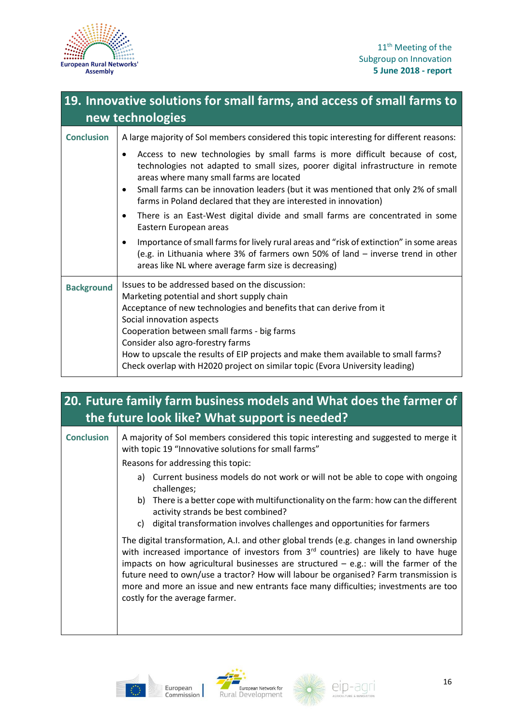

| 19. Innovative solutions for small farms, and access of small farms to<br>new technologies |                                                                                                                                                                                                                                                                                                                                                                                                                                                             |  |
|--------------------------------------------------------------------------------------------|-------------------------------------------------------------------------------------------------------------------------------------------------------------------------------------------------------------------------------------------------------------------------------------------------------------------------------------------------------------------------------------------------------------------------------------------------------------|--|
| <b>Conclusion</b>                                                                          | A large majority of Sol members considered this topic interesting for different reasons:                                                                                                                                                                                                                                                                                                                                                                    |  |
|                                                                                            | Access to new technologies by small farms is more difficult because of cost,<br>٠<br>technologies not adapted to small sizes, poorer digital infrastructure in remote<br>areas where many small farms are located                                                                                                                                                                                                                                           |  |
|                                                                                            | Small farms can be innovation leaders (but it was mentioned that only 2% of small<br>٠<br>farms in Poland declared that they are interested in innovation)                                                                                                                                                                                                                                                                                                  |  |
|                                                                                            | There is an East-West digital divide and small farms are concentrated in some<br>٠<br>Eastern European areas                                                                                                                                                                                                                                                                                                                                                |  |
|                                                                                            | Importance of small farms for lively rural areas and "risk of extinction" in some areas<br>$\bullet$<br>(e.g. in Lithuania where 3% of farmers own 50% of land - inverse trend in other<br>areas like NL where average farm size is decreasing)                                                                                                                                                                                                             |  |
| <b>Background</b>                                                                          | Issues to be addressed based on the discussion:<br>Marketing potential and short supply chain<br>Acceptance of new technologies and benefits that can derive from it<br>Social innovation aspects<br>Cooperation between small farms - big farms<br>Consider also agro-forestry farms<br>How to upscale the results of EIP projects and make them available to small farms?<br>Check overlap with H2020 project on similar topic (Evora University leading) |  |

### **20. Future family farm business models and What does the farmer of the future look like? What support is needed?**

**Conclusion** A majority of SoI members considered this topic interesting and suggested to merge it with topic 19 "Innovative solutions for small farms" Reasons for addressing this topic: a) Current business models do not work or will not be able to cope with ongoing challenges; b) There is a better cope with multifunctionality on the farm: how can the different activity strands be best combined? c) digital transformation involves challenges and opportunities for farmers The digital transformation, A.I. and other global trends (e.g. changes in land ownership with increased importance of investors from  $3<sup>rd</sup>$  countries) are likely to have huge impacts on how agricultural businesses are structured  $-$  e.g.: will the farmer of the future need to own/use a tractor? How will labour be organised? Farm transmission is more and more an issue and new entrants face many difficulties; investments are too costly for the average farmer.





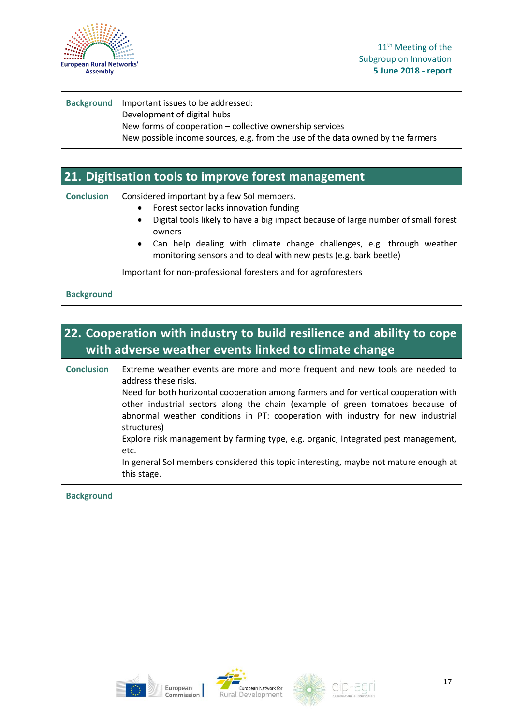

| Background   Important issues to be addressed:                                  |
|---------------------------------------------------------------------------------|
| Development of digital hubs                                                     |
| New forms of cooperation - collective ownership services                        |
| New possible income sources, e.g. from the use of the data owned by the farmers |
|                                                                                 |

### **21. Digitisation tools to improve forest management Conclusion** Considered important by a few SoI members.

| <b>Conclusion</b> | Considered important by a few Sof members.                                                                                                  |
|-------------------|---------------------------------------------------------------------------------------------------------------------------------------------|
|                   | Forest sector lacks innovation funding<br>$\bullet$                                                                                         |
|                   | Digital tools likely to have a big impact because of large number of small forest<br>$\bullet$                                              |
|                   | owners                                                                                                                                      |
|                   | • Can help dealing with climate change challenges, e.g. through weather<br>monitoring sensors and to deal with new pests (e.g. bark beetle) |
|                   | Important for non-professional foresters and for agroforesters                                                                              |
| <b>Background</b> |                                                                                                                                             |

### **22. Cooperation with industry to build resilience and ability to cope with adverse weather events linked to climate change**

| <b>Conclusion</b> | Extreme weather events are more and more frequent and new tools are needed to<br>address these risks.<br>Need for both horizontal cooperation among farmers and for vertical cooperation with<br>other industrial sectors along the chain (example of green tomatoes because of<br>abnormal weather conditions in PT: cooperation with industry for new industrial<br>structures)<br>Explore risk management by farming type, e.g. organic, Integrated pest management,<br>etc.<br>In general Sol members considered this topic interesting, maybe not mature enough at |
|-------------------|-------------------------------------------------------------------------------------------------------------------------------------------------------------------------------------------------------------------------------------------------------------------------------------------------------------------------------------------------------------------------------------------------------------------------------------------------------------------------------------------------------------------------------------------------------------------------|
|                   | this stage.                                                                                                                                                                                                                                                                                                                                                                                                                                                                                                                                                             |
| <b>Background</b> |                                                                                                                                                                                                                                                                                                                                                                                                                                                                                                                                                                         |







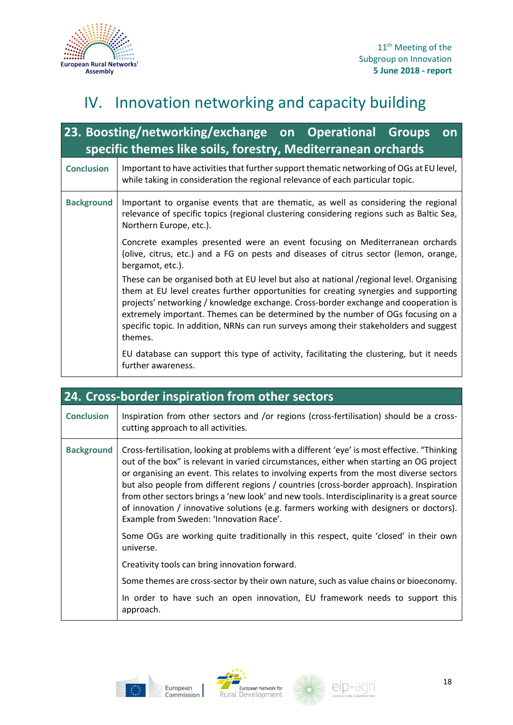

### IV. Innovation networking and capacity building

| 23. Boosting/networking/exchange on Operational Groups<br>on<br>specific themes like soils, forestry, Mediterranean orchards |                                                                                                                                                                                                                                                                                                                                                                                                                                                                  |  |
|------------------------------------------------------------------------------------------------------------------------------|------------------------------------------------------------------------------------------------------------------------------------------------------------------------------------------------------------------------------------------------------------------------------------------------------------------------------------------------------------------------------------------------------------------------------------------------------------------|--|
| <b>Conclusion</b>                                                                                                            | Important to have activities that further support thematic networking of OGs at EU level,<br>while taking in consideration the regional relevance of each particular topic.                                                                                                                                                                                                                                                                                      |  |
| <b>Background</b>                                                                                                            | Important to organise events that are thematic, as well as considering the regional<br>relevance of specific topics (regional clustering considering regions such as Baltic Sea,<br>Northern Europe, etc.).                                                                                                                                                                                                                                                      |  |
|                                                                                                                              | Concrete examples presented were an event focusing on Mediterranean orchards<br>(olive, citrus, etc.) and a FG on pests and diseases of citrus sector (lemon, orange,<br>bergamot, etc.).                                                                                                                                                                                                                                                                        |  |
|                                                                                                                              | These can be organised both at EU level but also at national /regional level. Organising<br>them at EU level creates further opportunities for creating synergies and supporting<br>projects' networking / knowledge exchange. Cross-border exchange and cooperation is<br>extremely important. Themes can be determined by the number of OGs focusing on a<br>specific topic. In addition, NRNs can run surveys among their stakeholders and suggest<br>themes. |  |
|                                                                                                                              | EU database can support this type of activity, facilitating the clustering, but it needs<br>further awareness.                                                                                                                                                                                                                                                                                                                                                   |  |

|                   | 24. Cross-border inspiration from other sectors                                                                                                                                                                                                                                                                                                                                                                                                                                                                                                                                                                   |  |
|-------------------|-------------------------------------------------------------------------------------------------------------------------------------------------------------------------------------------------------------------------------------------------------------------------------------------------------------------------------------------------------------------------------------------------------------------------------------------------------------------------------------------------------------------------------------------------------------------------------------------------------------------|--|
| <b>Conclusion</b> | Inspiration from other sectors and /or regions (cross-fertilisation) should be a cross-<br>cutting approach to all activities.                                                                                                                                                                                                                                                                                                                                                                                                                                                                                    |  |
| <b>Background</b> | Cross-fertilisation, looking at problems with a different 'eye' is most effective. "Thinking<br>out of the box" is relevant in varied circumstances, either when starting an OG project<br>or organising an event. This relates to involving experts from the most diverse sectors<br>but also people from different regions / countries (cross-border approach). Inspiration<br>from other sectors brings a 'new look' and new tools. Interdisciplinarity is a great source<br>of innovation / innovative solutions (e.g. farmers working with designers or doctors).<br>Example from Sweden: 'Innovation Race'. |  |
|                   | Some OGs are working quite traditionally in this respect, quite 'closed' in their own<br>universe.                                                                                                                                                                                                                                                                                                                                                                                                                                                                                                                |  |
|                   | Creativity tools can bring innovation forward.                                                                                                                                                                                                                                                                                                                                                                                                                                                                                                                                                                    |  |
|                   | Some themes are cross-sector by their own nature, such as value chains or bioeconomy.                                                                                                                                                                                                                                                                                                                                                                                                                                                                                                                             |  |
|                   | In order to have such an open innovation, EU framework needs to support this<br>approach.                                                                                                                                                                                                                                                                                                                                                                                                                                                                                                                         |  |





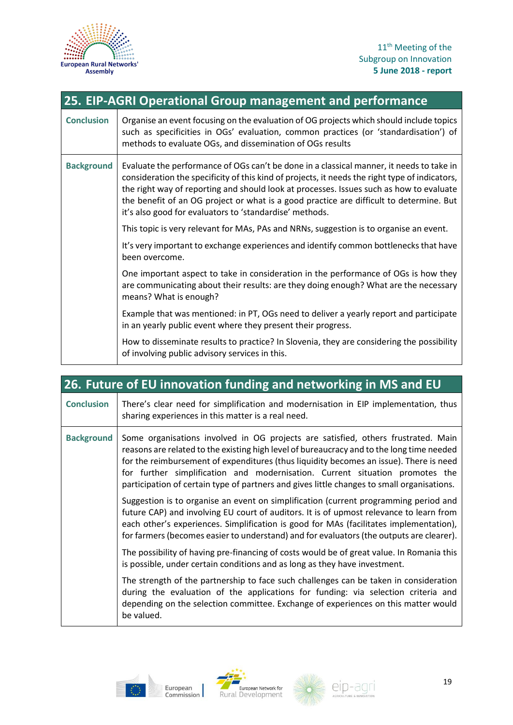

| 25. EIP-AGRI Operational Group management and performance |                                                                                                                                                                                                                                                                                                                                                                                                                                             |  |
|-----------------------------------------------------------|---------------------------------------------------------------------------------------------------------------------------------------------------------------------------------------------------------------------------------------------------------------------------------------------------------------------------------------------------------------------------------------------------------------------------------------------|--|
| <b>Conclusion</b>                                         | Organise an event focusing on the evaluation of OG projects which should include topics<br>such as specificities in OGs' evaluation, common practices (or 'standardisation') of<br>methods to evaluate OGs, and dissemination of OGs results                                                                                                                                                                                                |  |
| <b>Background</b>                                         | Evaluate the performance of OGs can't be done in a classical manner, it needs to take in<br>consideration the specificity of this kind of projects, it needs the right type of indicators,<br>the right way of reporting and should look at processes. Issues such as how to evaluate<br>the benefit of an OG project or what is a good practice are difficult to determine. But<br>it's also good for evaluators to 'standardise' methods. |  |
|                                                           | This topic is very relevant for MAs, PAs and NRNs, suggestion is to organise an event.                                                                                                                                                                                                                                                                                                                                                      |  |
|                                                           | It's very important to exchange experiences and identify common bottlenecks that have<br>been overcome.                                                                                                                                                                                                                                                                                                                                     |  |
|                                                           | One important aspect to take in consideration in the performance of OGs is how they<br>are communicating about their results: are they doing enough? What are the necessary<br>means? What is enough?                                                                                                                                                                                                                                       |  |
|                                                           | Example that was mentioned: in PT, OGs need to deliver a yearly report and participate<br>in an yearly public event where they present their progress.                                                                                                                                                                                                                                                                                      |  |
|                                                           | How to disseminate results to practice? In Slovenia, they are considering the possibility<br>of involving public advisory services in this.                                                                                                                                                                                                                                                                                                 |  |

| 26. Future of EU innovation funding and networking in MS and EU |                                                                                                                                                                                                                                                                                                                                                                                                                                                        |  |
|-----------------------------------------------------------------|--------------------------------------------------------------------------------------------------------------------------------------------------------------------------------------------------------------------------------------------------------------------------------------------------------------------------------------------------------------------------------------------------------------------------------------------------------|--|
| <b>Conclusion</b>                                               | There's clear need for simplification and modernisation in EIP implementation, thus<br>sharing experiences in this matter is a real need.                                                                                                                                                                                                                                                                                                              |  |
| <b>Background</b>                                               | Some organisations involved in OG projects are satisfied, others frustrated. Main<br>reasons are related to the existing high level of bureaucracy and to the long time needed<br>for the reimbursement of expenditures (thus liquidity becomes an issue). There is need<br>for further simplification and modernisation. Current situation promotes the<br>participation of certain type of partners and gives little changes to small organisations. |  |
|                                                                 | Suggestion is to organise an event on simplification (current programming period and<br>future CAP) and involving EU court of auditors. It is of upmost relevance to learn from<br>each other's experiences. Simplification is good for MAs (facilitates implementation),<br>for farmers (becomes easier to understand) and for evaluators (the outputs are clearer).                                                                                  |  |
|                                                                 | The possibility of having pre-financing of costs would be of great value. In Romania this<br>is possible, under certain conditions and as long as they have investment.                                                                                                                                                                                                                                                                                |  |
|                                                                 | The strength of the partnership to face such challenges can be taken in consideration<br>during the evaluation of the applications for funding: via selection criteria and<br>depending on the selection committee. Exchange of experiences on this matter would<br>be valued.                                                                                                                                                                         |  |